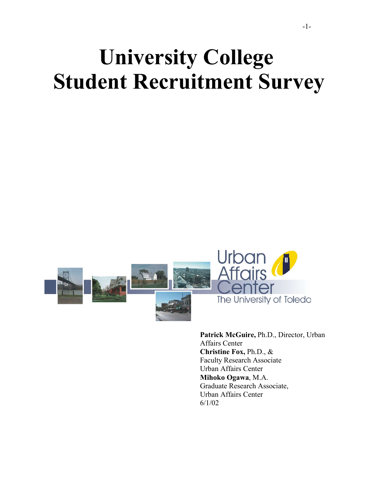# **University College Student Recruitment Survey**



**Patrick McGuire,** Ph.D., Director, Urban Affairs Center **Christine Fox,** Ph.D., & Faculty Research Associate Urban Affairs Center **Mihoko Ogawa**, M.A. Graduate Research Associate, Urban Affairs Center 6/1/02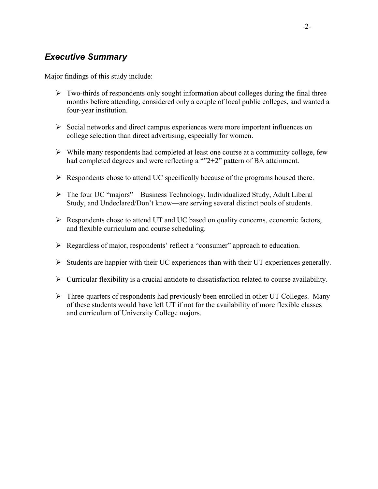### *Executive Summary*

Major findings of this study include:

- $\triangleright$  Two-thirds of respondents only sought information about colleges during the final three months before attending, considered only a couple of local public colleges, and wanted a four-year institution.
- $\triangleright$  Social networks and direct campus experiences were more important influences on college selection than direct advertising, especially for women.
- $\triangleright$  While many respondents had completed at least one course at a community college, few had completed degrees and were reflecting a ""2+2" pattern of BA attainment.
- $\triangleright$  Respondents chose to attend UC specifically because of the programs housed there.
- The four UC "majors"—Business Technology, Individualized Study, Adult Liberal Study, and Undeclared/Don't know—are serving several distinct pools of students.
- $\triangleright$  Respondents chose to attend UT and UC based on quality concerns, economic factors, and flexible curriculum and course scheduling.
- Regardless of major, respondents' reflect a "consumer" approach to education.
- $\triangleright$  Students are happier with their UC experiences than with their UT experiences generally.
- $\triangleright$  Curricular flexibility is a crucial antidote to dissatisfaction related to course availability.
- $\triangleright$  Three-quarters of respondents had previously been enrolled in other UT Colleges. Many of these students would have left UT if not for the availability of more flexible classes and curriculum of University College majors.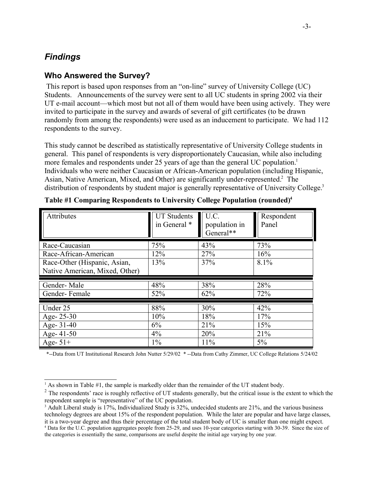## *Findings*

#### **Who Answered the Survey?**

This report is based upon responses from an "on-line" survey of University College (UC) Students. Announcements of the survey were sent to all UC students in spring 2002 via their UT e-mail account—which most but not all of them would have been using actively. They were invited to participate in the survey and awards of several of gift certificates (to be drawn randomly from among the respondents) were used as an inducement to participate. We had 112 respondents to the survey.

This study cannot be described as statistically representative of University College students in general. This panel of respondents is very disproportionately Caucasian, while also including more females and respondents under 25 years of age than the general UC population.<sup>1</sup> Individuals who were neither Caucasian or African-American population (including Hispanic, Asian, Native American, Mixed, and Other) are significantly under-represented.<sup>2</sup> The distribution of respondents by student major is generally representative of University College.<sup>3</sup>

| Attributes                     | <b>UT Students</b><br>in General * | U.C.<br>population in<br>General** | Respondent<br>Panel |
|--------------------------------|------------------------------------|------------------------------------|---------------------|
| Race-Caucasian                 | 75%                                | 43%                                | 73%                 |
| Race-African-American          | 12%                                | 27%                                | 16%                 |
| Race-Other (Hispanic, Asian,   | 13%                                | 37%                                | 8.1%                |
| Native American, Mixed, Other) |                                    |                                    |                     |
|                                |                                    |                                    |                     |
| Gender-Male                    | 48%                                | 38%                                | 28%                 |
| Gender-Female                  | 52%                                | 62%                                | 72%                 |
| Under 25                       | 88%                                | 30%                                | 42%                 |
| Age-25-30                      | 10%                                | 18%                                | 17%                 |
| Age- 31-40                     | 6%                                 | 21%                                | 15%                 |
| Age- 41-50                     | $4\%$                              | 20%                                | 21%                 |

|  | Table #1 Comparing Respondents to University College Population (rounded) <sup>4</sup> |  |  |  |
|--|----------------------------------------------------------------------------------------|--|--|--|
|  |                                                                                        |  |  |  |

\*--Data from UT Institutional Research John Nutter 5/29/02 \* --Data from Cathy Zimmer, UC College Relations 5/24/02

<sup>&</sup>lt;sup>1</sup> As shown in Table  $#1$ , the sample is markedly older than the remainder of the UT student body.

 $2^2$  The respondents' race is roughly reflective of UT students generally, but the critical issue is the extent to which the respondent sample is "representative" of the UC population.

<sup>&</sup>lt;sup>3</sup> Adult Liberal study is 17%, Individualized Study is 32%, undecided students are 21%, and the various business technology degrees are about 15% of the respondent population. While the later are popular and have large classes, it is a two-year degree and thus their percentage of the total student body of UC is smaller than one might expect.

<sup>4</sup> Data for the U.C. population aggregates people from 25-29, and uses 10-year categories starting with 30-39. Since the size of the categories is essentially the same, comparisons are useful despite the initial age varying by one year.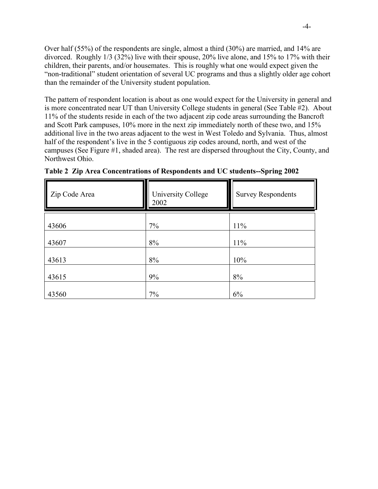Over half (55%) of the respondents are single, almost a third (30%) are married, and 14% are divorced. Roughly 1/3 (32%) live with their spouse, 20% live alone, and 15% to 17% with their children, their parents, and/or housemates. This is roughly what one would expect given the "non-traditional" student orientation of several UC programs and thus a slightly older age cohort than the remainder of the University student population.

The pattern of respondent location is about as one would expect for the University in general and is more concentrated near UT than University College students in general (See Table #2). About 11% of the students reside in each of the two adjacent zip code areas surrounding the Bancroft and Scott Park campuses, 10% more in the next zip immediately north of these two, and 15% additional live in the two areas adjacent to the west in West Toledo and Sylvania. Thus, almost half of the respondent's live in the 5 contiguous zip codes around, north, and west of the campuses (See Figure #1, shaded area). The rest are dispersed throughout the City, County, and Northwest Ohio.

| Zip Code Area | <b>University College</b><br>2002 | <b>Survey Respondents</b> |
|---------------|-----------------------------------|---------------------------|
| 43606         | 7%                                | 11%                       |
| 43607         | 8%                                | 11%                       |
| 43613         | 8%                                | 10%                       |
| 43615         | 9%                                | 8%                        |
| 43560         | 7%                                | 6%                        |

**Table 2 Zip Area Concentrations of Respondents and UC students--Spring 2002**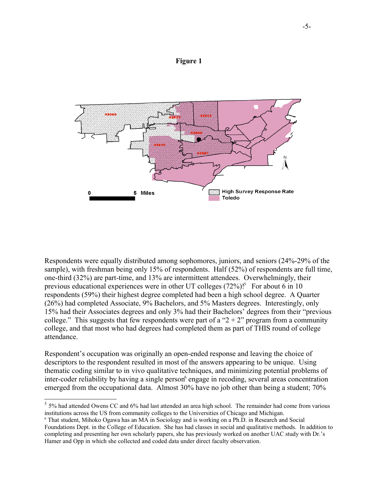#### **Figure 1**



Respondents were equally distributed among sophomores, juniors, and seniors (24%-29% of the sample), with freshman being only 15% of respondents. Half (52%) of respondents are full time, one-third (32%) are part-time, and 13% are intermittent attendees. Overwhelmingly, their previous educational experiences were in other UT colleges (72%)!<sup>5</sup> For about 6 in 10 respondents (59%) their highest degree completed had been a high school degree. A Quarter (26%) had completed Associate, 9% Bachelors, and 5% Masters degrees. Interestingly, only 15% had their Associates degrees and only 3% had their Bachelors' degrees from their "previous college." This suggests that few respondents were part of a " $2 + 2$ " program from a community college, and that most who had degrees had completed them as part of THIS round of college attendance.

Respondent's occupation was originally an open-ended response and leaving the choice of descriptors to the respondent resulted in most of the answers appearing to be unique. Using thematic coding similar to in vivo qualitative techniques, and minimizing potential problems of inter-coder reliability by having a single person<sup>6</sup> engage in recoding, several areas concentration emerged from the occupational data. Almost 30% have no job other than being a student; 70%

 $<sup>5</sup>$  5% had attended Owens CC and 6% had last attended an area high school. The remainder had come from various</sup> institutions across the US from community colleges to the Universities of Chicago and Michigan.

<sup>6</sup> That student, Mihoko Ogawa has an MA in Sociology and is working on a Ph.D. in Research and Social Foundations Dept. in the College of Education. She has had classes in social and qualitative methods. In addition to completing and presenting her own scholarly papers, she has previously worked on another UAC study with Dr.'s Hamer and Opp in which she collected and coded data under direct faculty observation.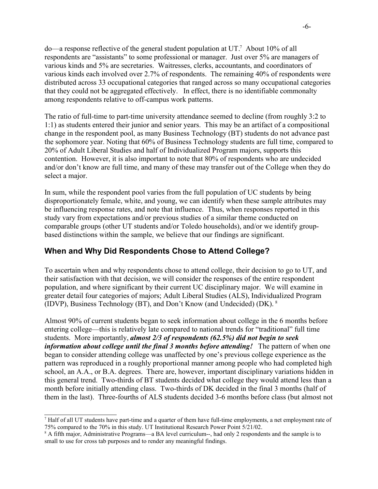$do$ —a response reflective of the general student population at UT.<sup>7</sup> About 10% of all respondents are "assistants" to some professional or manager. Just over 5% are managers of various kinds and 5% are secretaries. Waitresses, clerks, accountants, and coordinators of various kinds each involved over 2.7% of respondents. The remaining 40% of respondents were distributed across 33 occupational categories that ranged across so many occupational categories that they could not be aggregated effectively. In effect, there is no identifiable commonalty among respondents relative to off-campus work patterns.

The ratio of full-time to part-time university attendance seemed to decline (from roughly 3:2 to 1:1) as students entered their junior and senior years. This may be an artifact of a compositional change in the respondent pool, as many Business Technology (BT) students do not advance past the sophomore year. Noting that 60% of Business Technology students are full time, compared to 20% of Adult Liberal Studies and half of Individualized Program majors, supports this contention. However, it is also important to note that 80% of respondents who are undecided and/or don't know are full time, and many of these may transfer out of the College when they do select a major.

In sum, while the respondent pool varies from the full population of UC students by being disproportionately female, white, and young, we can identify when these sample attributes may be influencing response rates, and note that influence. Thus, when responses reported in this study vary from expectations and/or previous studies of a similar theme conducted on comparable groups (other UT students and/or Toledo households), and/or we identify groupbased distinctions within the sample, we believe that our findings are significant.

#### **When and Why Did Respondents Chose to Attend College?**

To ascertain when and why respondents chose to attend college, their decision to go to UT, and their satisfaction with that decision, we will consider the responses of the entire respondent population, and where significant by their current UC disciplinary major. We will examine in greater detail four categories of majors; Adult Liberal Studies (ALS), Individualized Program (IDVP), Business Technology (BT), and Don't Know (and Undecided) (DK). <sup>8</sup>

Almost 90% of current students began to seek information about college in the 6 months before entering college—this is relatively late compared to national trends for "traditional" full time students. More importantly, *almost 2/3 of respondents (62.5%) did not begin to seek information about college until the final 3 months before attending!* The pattern of when one began to consider attending college was unaffected by one's previous college experience as the pattern was reproduced in a roughly proportional manner among people who had completed high school, an A.A., or B.A. degrees. There are, however, important disciplinary variations hidden in this general trend. Two-thirds of BT students decided what college they would attend less than a month before initially attending class. Two-thirds of DK decided in the final 3 months (half of them in the last). Three-fourths of ALS students decided 3-6 months before class (but almost not

<sup>7</sup> Half of all UT students have part-time and a quarter of them have full-time employments, a net employment rate of 75% compared to the 70% in this study. UT Institutional Research Power Point 5/21/02.

<sup>&</sup>lt;sup>8</sup> A fifth major, Administrative Programs—a BA level curriculum--, had only 2 respondents and the sample is to small to use for cross tab purposes and to render any meaningful findings.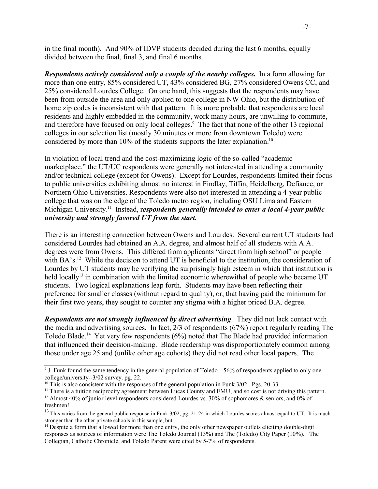in the final month). And 90% of IDVP students decided during the last 6 months, equally divided between the final, final 3, and final 6 months.

*Respondents actively considered only a couple of the nearby colleges.* In a form allowing for more than one entry, 85% considered UT, 43% considered BG, 27% considered Owens CC, and 25% considered Lourdes College. On one hand, this suggests that the respondents may have been from outside the area and only applied to one college in NW Ohio, but the distribution of home zip codes is inconsistent with that pattern. It is more probable that respondents are local residents and highly embedded in the community, work many hours, are unwilling to commute, and therefore have focused on only local colleges.<sup>9</sup> The fact that none of the other 13 regional colleges in our selection list (mostly 30 minutes or more from downtown Toledo) were considered by more than 10% of the students supports the later explanation.<sup>10</sup>

In violation of local trend and the cost-maximizing logic of the so-called "academic marketplace," the UT/UC respondents were generally not interested in attending a community and/or technical college (except for Owens). Except for Lourdes, respondents limited their focus to public universities exhibiting almost no interest in Findlay, Tiffin, Heidelberg, Defiance, or Northern Ohio Universities. Respondents were also not interested in attending a 4-year public college that was on the edge of the Toledo metro region, including OSU Lima and Eastern Michigan University.<sup>11</sup> Instead, respondents generally intended to enter a local 4-year public *university and strongly favored UT from the start.*

There is an interesting connection between Owens and Lourdes. Several current UT students had considered Lourdes had obtained an A.A. degree, and almost half of all students with A.A. degrees were from Owens. This differed from applicants "direct from high school" or people with BA's.<sup>12</sup> While the decision to attend UT is beneficial to the institution, the consideration of Lourdes by UT students may be verifying the surprisingly high esteem in which that institution is held locally<sup>13</sup> in combination with the limited economic wherewithal of people who became UT students. Two logical explanations leap forth. Students may have been reflecting their preference for smaller classes (without regard to quality), or, that having paid the minimum for their first two years, they sought to counter any stigma with a higher priced B.A. degree.

*Respondents are not strongly influenced by direct advertising*. They did not lack contact with the media and advertising sources. In fact, 2/3 of respondents (67%) report regularly reading The Toledo Blade.<sup>14</sup> Yet very few respondents (6%) noted that The Blade had provided information that influenced their decision-making. Blade readership was disproportionately common among those under age 25 and (unlike other age cohorts) they did not read other local papers. The

<sup>&</sup>lt;sup>9</sup> J. Funk found the same tendency in the general population of Toledo --56% of respondents applied to only one college/university--3/02 survey. pg. 22.

<sup>&</sup>lt;sup>10</sup> This is also consistent with the responses of the general population in Funk 3/02. Pgs. 20-33.

 $<sup>11</sup>$  There is a tuition reciprocity agreement between Lucas County and EMU, and so cost is not driving this pattern.</sup>

<sup>&</sup>lt;sup>12</sup> Almost 40% of junior level respondents considered Lourdes vs. 30% of sophomores  $\&$  seniors, and 0% of freshmen!

<sup>&</sup>lt;sup>13</sup> This varies from the general public response in Funk  $3/02$ , pg. 21-24 in which Lourdes scores almost equal to UT. It is much stronger than the other private schools in this sample, but

<sup>&</sup>lt;sup>14</sup> Despite a form that allowed for more than one entry, the only other newspaper outlets eliciting double-digit responses as sources of information were The Toledo Journal (13%) and The (Toledo) City Paper (10%). The Collegian, Catholic Chronicle, and Toledo Parent were cited by 5-7% of respondents.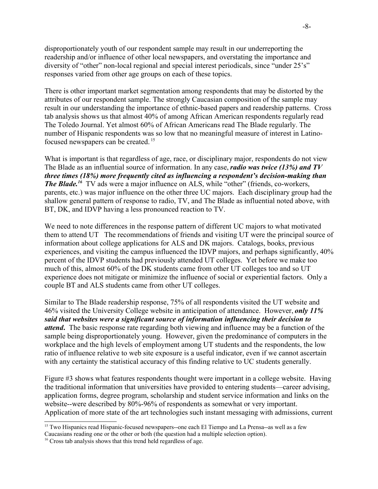disproportionately youth of our respondent sample may result in our underreporting the readership and/or influence of other local newspapers, and overstating the importance and diversity of "other" non-local regional and special interest periodicals, since "under 25's" responses varied from other age groups on each of these topics.

There is other important market segmentation among respondents that may be distorted by the attributes of our respondent sample. The strongly Caucasian composition of the sample may result in our understanding the importance of ethnic-based papers and readership patterns. Cross tab analysis shows us that almost 40% of among African American respondents regularly read The Toledo Journal. Yet almost 60% of African Americans read The Blade regularly. The number of Hispanic respondents was so low that no meaningful measure of interest in Latinofocused newspapers can be created. <sup>15</sup>

What is important is that regardless of age, race, or disciplinary major, respondents do not view The Blade as an influential source of information. In any case, *radio was twice (13%) and TV three times (18%) more frequently cited as influencing a respondent's decision-making than* **The Blade.**<sup>16</sup> TV ads were a major influence on ALS, while "other" (friends, co-workers, parents, etc.) was major influence on the other three UC majors. Each disciplinary group had the shallow general pattern of response to radio, TV, and The Blade as influential noted above, with BT, DK, and IDVP having a less pronounced reaction to TV.

We need to note differences in the response pattern of different UC majors to what motivated them to attend UT The recommendations of friends and visiting UT were the principal source of information about college applications for ALS and DK majors. Catalogs, books, previous experiences, and visiting the campus influenced the IDVP majors, and perhaps significantly, 40% percent of the IDVP students had previously attended UT colleges. Yet before we make too much of this, almost 60% of the DK students came from other UT colleges too and so UT experience does not mitigate or minimize the influence of social or experiential factors. Only a couple BT and ALS students came from other UT colleges.

Similar to The Blade readership response, 75% of all respondents visited the UT website and 46% visited the University College website in anticipation of attendance. However, *only 11% said that websites were a significant source of information influencing their decision to attend***.** The basic response rate regarding both viewing and influence may be a function of the sample being disproportionately young. However, given the predominance of computers in the workplace and the high levels of employment among UT students and the respondents, the low ratio of influence relative to web site exposure is a useful indicator, even if we cannot ascertain with any certainty the statistical accuracy of this finding relative to UC students generally.

Figure #3 shows what features respondents thought were important in a college website. Having the traditional information that universities have provided to entering students—career advising, application forms, degree program, scholarship and student service information and links on the website--were described by 80%-96% of respondents as somewhat or very important. Application of more state of the art technologies such instant messaging with admissions, current

<sup>&</sup>lt;sup>15</sup> Two Hispanics read Hispanic-focused newspapers--one each El Tiempo and La Prensa--as well as a few Caucasians reading one or the other or both (the question had a multiple selection option).

<sup>&</sup>lt;sup>16</sup> Cross tab analysis shows that this trend held regardless of age.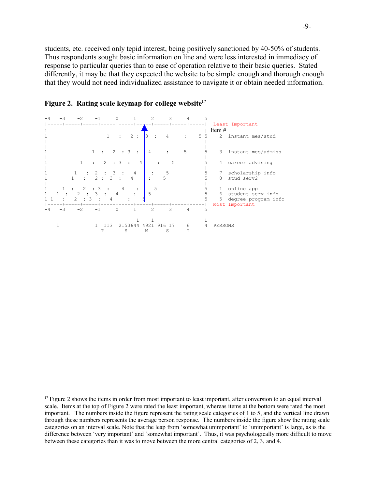students, etc. received only tepid interest, being positively sanctioned by 40-50% of students. Thus respondents sought basic information on line and were less interested in immediacy of response to particular queries than to ease of operation relative to their basic queries. Stated differently, it may be that they expected the website to be simple enough and thorough enough that they would not need individualized assistance to navigate it or obtain needed information.





<sup>&</sup>lt;sup>17</sup> Figure 2 shows the items in order from most important to least important, after conversion to an equal interval scale. Items at the top of Figure 2 were rated the least important, whereas items at the bottom were rated the most important. The numbers inside the figure represent the rating scale categories of 1 to 5, and the vertical line drawn through these numbers represents the average person response. The numbers inside the figure show the rating scale categories on an interval scale. Note that the leap from 'somewhat unimportant' to 'unimportant' is large, as is the difference between 'very important' and 'somewhat important'. Thus, it was psychologically more difficult to move between these categories than it was to move between the more central categories of 2, 3, and 4.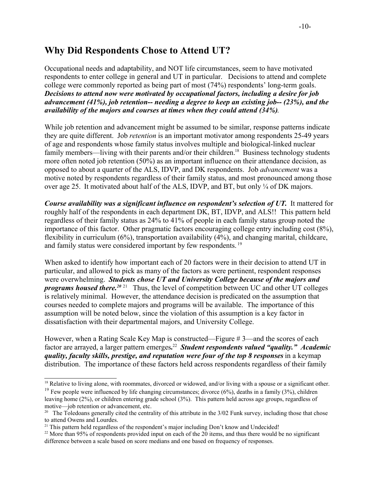## **Why Did Respondents Chose to Attend UT?**

Occupational needs and adaptability, and NOT life circumstances, seem to have motivated respondents to enter college in general and UT in particular. Decisions to attend and complete college were commonly reported as being part of most (74%) respondents' long-term goals. *Decisions to attend now were motivated by occupational factors, including a desire for job advancement (41%), job retention-- needing a degree to keep an existing job-- (23%), and the availability of the majors and courses at times when they could attend (34%)*.

While job retention and advancement might be assumed to be similar, response patterns indicate they are quite different. Job *retention* is an important motivator among respondents 25-49 years of age and respondents whose family status involves multiple and biological-linked nuclear family members—living with their parents and/or their children.<sup>18</sup> Business technology students more often noted job retention (50%) as an important influence on their attendance decision, as opposed to about a quarter of the ALS, IDVP, and DK respondents. Job *advancement* was a motive noted by respondents regardless of their family status, and most pronounced among those over age 25. It motivated about half of the ALS, IDVP, and BT, but only  $\frac{1}{4}$  of DK majors.

*Course availability was a significant influence on respondent's selection of UT.* It mattered for roughly half of the respondents in each department DK, BT, IDVP, and ALS!! This pattern held regardless of their family status as 24% to 41% of people in each family status group noted the importance of this factor. Other pragmatic factors encouraging college entry including cost (8%), flexibility in curriculum (6%), transportation availability (4%), and changing marital, childcare, and family status were considered important by few respondents. <sup>19</sup>

When asked to identify how important each of 20 factors were in their decision to attend UT in particular, and allowed to pick as many of the factors as were pertinent, respondent responses were overwhelming. *Students chose UT and University College because of the majors and programs housed there.*<sup>2021</sup> Thus, the level of competition between UC and other UT colleges is relatively minimal. However, the attendance decision is predicated on the assumption that courses needed to complete majors and programs will be available. The importance of this assumption will be noted below, since the violation of this assumption is a key factor in dissatisfaction with their departmental majors, and University College.

However, when a Rating Scale Key Map is constructed—Figure # 3—and the scores of each factor are arrayed, a larger pattern emerges**.** <sup>22</sup> *Student respondents valued "quality." Academic quality, faculty skills, prestige, and reputation were four of the top 8 responses* in a keymap distribution.The importance of these factors held across respondents regardless of their family

<sup>&</sup>lt;sup>18</sup> Relative to living alone, with roommates, divorced or widowed, and/or living with a spouse or a significant other.

<sup>&</sup>lt;sup>19</sup> Few people were influenced by life changing circumstances; divorce  $(6\%)$ , deaths in a family  $(3\%)$ , children leaving home (2%), or children entering grade school (3%). This pattern held across age groups, regardless of motive—job retention or advancement, etc.

<sup>&</sup>lt;sup>20</sup> The Toledoans generally cited the centrality of this attribute in the  $3/02$  Funk survey, including those that chose to attend Owens and Lourdes.

<sup>&</sup>lt;sup>21</sup> This pattern held regardless of the respondent's major including Don't know and Undecided!

<sup>&</sup>lt;sup>22</sup> More than 95% of respondents provided input on each of the 20 items, and thus there would be no significant difference between a scale based on score medians and one based on frequency of responses.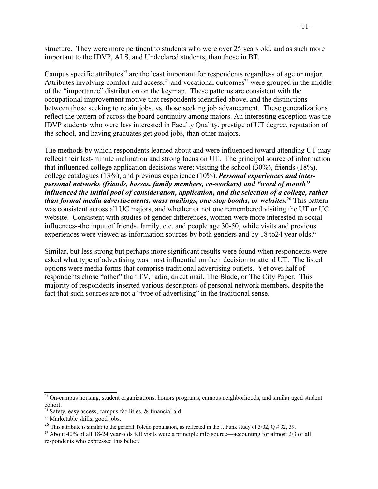structure. They were more pertinent to students who were over 25 years old, and as such more important to the IDVP, ALS, and Undeclared students, than those in BT.

Campus specific attributes<sup>23</sup> are the least important for respondents regardless of age or major. Attributes involving comfort and access,<sup>24</sup> and vocational outcomes<sup>25</sup> were grouped in the middle of the "importance" distribution on the keymap. These patterns are consistent with the occupational improvement motive that respondents identified above, and the distinctions between those seeking to retain jobs, vs. those seeking job advancement. These generalizations reflect the pattern of across the board continuity among majors. An interesting exception was the IDVP students who were less interested in Faculty Quality, prestige of UT degree, reputation of the school, and having graduates get good jobs, than other majors.

The methods by which respondents learned about and were influenced toward attending UT may reflect their last-minute inclination and strong focus on UT. The principal source of information that influenced college application decisions were: visiting the school (30%), friends (18%), college catalogues (13%), and previous experience (10%). *Personal experiences and interpersonal networks (friends, bosses, family members, co-workers) and "word of mouth" influenced the initial pool of consideration, application, and the selection of a college, rather than formal media advertisements, mass mailings, one-stop booths, or websites.*<sup>26</sup> This pattern was consistent across all UC majors, and whether or not one remembered visiting the UT or UC website. Consistent with studies of gender differences, women were more interested in social influences--the input of friends, family, etc. and people age 30-50, while visits and previous experiences were viewed as information sources by both genders and by 18 to 24 year olds.<sup>27</sup>

Similar, but less strong but perhaps more significant results were found when respondents were asked what type of advertising was most influential on their decision to attend UT. The listed options were media forms that comprise traditional advertising outlets. Yet over half of respondents chose "other" than TV, radio, direct mail, The Blade, or The City Paper. This majority of respondents inserted various descriptors of personal network members, despite the fact that such sources are not a "type of advertising" in the traditional sense.

<sup>&</sup>lt;sup>23</sup> On-campus housing, student organizations, honors programs, campus neighborhoods, and similar aged student cohort.

<sup>&</sup>lt;sup>24</sup> Safety, easy access, campus facilities,  $\&$  financial aid.

 $25$  Marketable skills, good jobs.

<sup>&</sup>lt;sup>26</sup> This attribute is similar to the general Toledo population, as reflected in the J. Funk study of  $3/02$ , Q # 32, 39.

<sup>&</sup>lt;sup>27</sup> About 40% of all 18-24 year olds felt visits were a principle info source—accounting for almost 2/3 of all respondents who expressed this belief.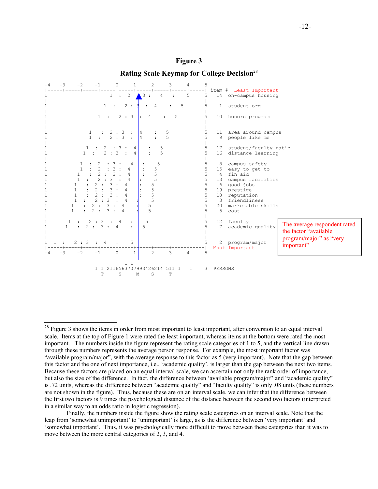

## **Figure 3 Rating Scale Keymap for College Decision**<sup>28</sup>

 $2<sup>28</sup>$  Figure 3 shows the items in order from most important to least important, after conversion to an equal interval scale. Items at the top of Figure 1 were rated the least important, whereas items at the bottom were rated the most important. The numbers inside the figure represent the rating scale categories of 1 to 5, and the vertical line drawn through these numbers represents the average person response. For example, the most important factor was "available program/major", with the average response to this factor as 5 (very important). Note that the gap between this factor and the one of next importance, i.e., 'academic quality', is larger than the gap between the next two items. Because these factors are placed on an equal interval scale, we can ascertain not only the rank order of importance, but also the size of the difference. In fact, the difference between 'available program/major" and "academic quality" is .72 units, whereas the difference between "academic quality" and "faculty quality" is only .08 units (these numbers are not shown in the figure). Thus, because these are on an interval scale, we can infer that the difference between the first two factors is 9 times the psychological distance of the distance between the second two factors (interpreted in a similar way to an odds ratio in logistic regression).

Finally, the numbers inside the figure show the rating scale categories on an interval scale. Note that the leap from 'somewhat unimportant' to 'unimportant' is large, as is the difference between 'very important' and 'somewhat important'. Thus, it was psychologically more difficult to move between these categories than it was to move between the more central categories of 2, 3, and 4.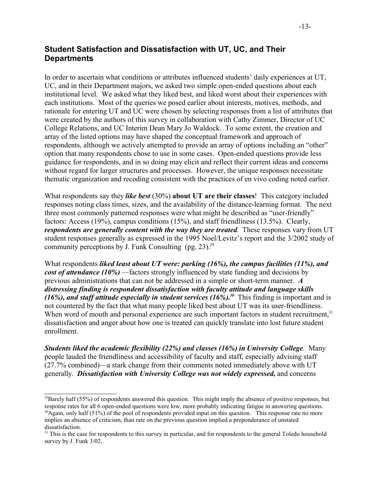#### **Student Satisfaction and Dissatisfaction with UT, UC, and Their Departments**

In order to ascertain what conditions or attributes influenced students' daily experiences at UT, UC, and in their Department majors, we asked two simple open-ended questions about each institutional level. We asked what they liked best, and liked worst about their experiences with each institutions. Most of the queries we posed earlier about interests, motives, methods, and rationale for entering UT and UC were chosen by selecting responses from a list of attributes that were created by the authors of this survey in collaboration with Cathy Zimmer, Director of UC College Relations, and UC Interim Dean Mary Jo Waldock. To some extent, the creation and array of the listed options may have shaped the conceptual framework and approach of respondents, although we actively attempted to provide an array of options including an "other" option that many respondents chose to use in some cases. Open-ended questions provide less guidance for respondents, and in so doing may elicit and reflect their current ideas and concerns without regard for larger structures and processes. However, the unique responses necessitate thematic organization and recoding consistent with the practices of en vivo coding noted earlier.

What respondents say they *like best* (30%) **about UT are their classes**! This category included responses noting class times, sizes, and the availability of the distance-learning format. The next three most commonly patterned responses were what might be described as "user-friendly" factors: Access (19%), campus conditions (15%), and staff friendliness (13.5%). Clearly, *respondents are generally content with the way they are treated*. These responses vary from UT student responses generally as expressed in the 1995 Noel/Levitz's report and the 3/2002 study of community perceptions by J. Funk Consulting  $(pg. 23).^{29}$ 

What respondents *liked least about UT were: parking (16%), the campus facilities (11%), and cost of attendance (10%)* —factors strongly influenced by state funding and decisions by previous administrations that can not be addressed in a simple or short-term manner. *A distressing finding is respondent dissatisfaction with faculty attitude and language skills* (16%), and staff attitude especially in student services  $(16\%)$ .<sup>30</sup> This finding is important and is not countered by the fact that what many people liked best about UT was its user-friendliness. When word of mouth and personal experience are such important factors in student recruitment,<sup>31</sup> dissatisfaction and anger about how one is treated can quickly translate into lost future student enrollment.

*Students liked the academic flexibility (22%) and classes (16%) in University College.* Many people lauded the friendliness and accessibility of faculty and staff, especially advising staff (27.7% combined)—a stark change from their comments noted immediately above with UT generally. *Dissatisfaction with University College was not widely expressed***,** and concerns

<sup>&</sup>lt;sup>29</sup>Barely half (55%) of respondents answered this question. This might imply the absence of positive responses, but response rates for all 6 open-ended questions were low, more probably indicating fatigue in answering questions.

 $30$ Again, only half (51%) of the pool of respondents provided input on this question. This response rate no more implies an absence of criticism, than rate on the previous question implied a preponderance of unstated dissatisfaction.

<sup>&</sup>lt;sup>31</sup> This is the case for respondents to this survey in particular, and for respondents to the general Toledo household survey by J. Funk 3/02.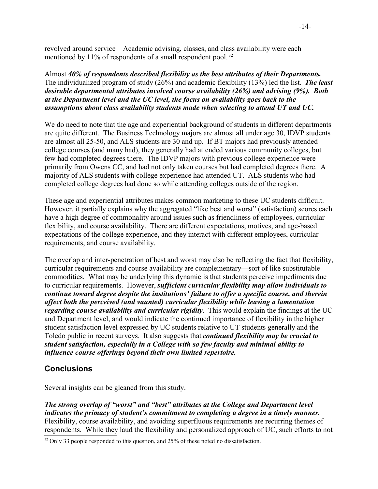revolved around service—Academic advising, classes, and class availability were each mentioned by 11% of respondents of a small respondent pool.<sup>32</sup>

Almost *40% of respondents described flexibility as the best attributes of their Departments.* The individualized program of study (26%) and academic flexibility (13%) led the list. *The least desirable departmental attributes involved course availability (26%) and advising (9%). Both at the Department level and the UC level, the focus on availability goes back to the assumptions about class availability students made when selecting to attend UT and UC.* 

We do need to note that the age and experiential background of students in different departments are quite different. The Business Technology majors are almost all under age 30, IDVP students are almost all 25-50, and ALS students are 30 and up. If BT majors had previously attended college courses (and many had), they generally had attended various community colleges, but few had completed degrees there. The IDVP majors with previous college experience were primarily from Owens CC, and had not only taken courses but had completed degrees there. A majority of ALS students with college experience had attended UT. ALS students who had completed college degrees had done so while attending colleges outside of the region.

These age and experiential attributes makes common marketing to these UC students difficult. However, it partially explains why the aggregated "like best and worst" (satisfaction) scores each have a high degree of commonality around issues such as friendliness of employees, curricular flexibility, and course availability. There are different expectations, motives, and age-based expectations of the college experience, and they interact with different employees, curricular requirements, and course availability.

The overlap and inter-penetration of best and worst may also be reflecting the fact that flexibility, curricular requirements and course availability are complementary—sort of like substitutable commodities. What may be underlying this dynamic is that students perceive impediments due to curricular requirements. However, *sufficient curricular flexibility may allow individuals to continue toward degree despite the institutions' failure to offer a specific course, and therein affect both the perceived (and vaunted) curricular flexibility while leaving a lamentation regarding course availability and curricular rigidity*. This would explain the findings at the UC and Department level, and would indicate the continued importance of flexibility in the higher student satisfaction level expressed by UC students relative to UT students generally and the Toledo public in recent surveys. It also suggests that *continued flexibility may be crucial to student satisfaction, especially in a College with so few faculty and minimal ability to influence course offerings beyond their own limited repertoire.* 

#### **Conclusions**

Several insights can be gleaned from this study.

*The strong overlap of "worst" and "best" attributes at the College and Department level indicates the primacy of student's commitment to completing a degree in a timely manner.* Flexibility, course availability, and avoiding superfluous requirements are recurring themes of respondents. While they laud the flexibility and personalized approach of UC, such efforts to not

<sup>&</sup>lt;sup>32</sup> Only 33 people responded to this question, and 25% of these noted no dissatisfaction.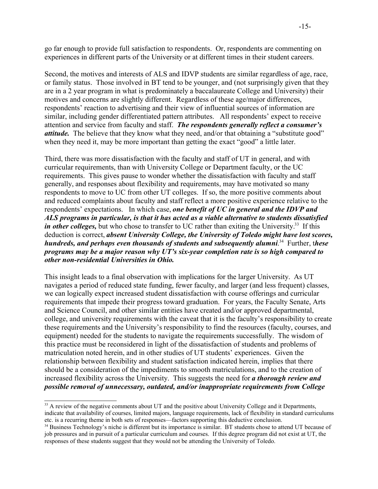go far enough to provide full satisfaction to respondents. Or, respondents are commenting on experiences in different parts of the University or at different times in their student careers.

Second, the motives and interests of ALS and IDVP students are similar regardless of age, race, or family status. Those involved in BT tend to be younger, and (not surprisingly given that they are in a 2 year program in what is predominately a baccalaureate College and University) their motives and concerns are slightly different. Regardless of these age/major differences, respondents' reaction to advertising and their view of influential sources of information are similar, including gender differentiated pattern attributes. All respondents' expect to receive attention and service from faculty and staff. *The respondents generally reflect a consumer's attitude*. The believe that they know what they need, and/or that obtaining a "substitute good" when they need it, may be more important than getting the exact "good" a little later.

Third, there was more dissatisfaction with the faculty and staff of UT in general, and with curricular requirements, than with University College or Department faculty, or the UC requirements. This gives pause to wonder whether the dissatisfaction with faculty and staff generally, and responses about flexibility and requirements, may have motivated so many respondents to move to UC from other UT colleges. If so, the more positive comments about and reduced complaints about faculty and staff reflect a more positive experience relative to the respondents' expectations. In which case, *one benefit of UC in general and the IDVP and ALS programs in particular, is that it has acted as a viable alternative to students dissatisfied* in other colleges, but who chose to transfer to UC rather than exiting the University.<sup>33</sup> If this deduction is correct, *absent University College, the University of Toledo might have lost scores, hundreds, and perhaps even thousands of students and subsequently alumni*. <sup>34</sup> Further, t*hese programs may be a major reason why UT's six-year completion rate is so high compared to other non-residential Universities in Ohio.*

This insight leads to a final observation with implications for the larger University. As UT navigates a period of reduced state funding, fewer faculty, and larger (and less frequent) classes, we can logically expect increased student dissatisfaction with course offerings and curricular requirements that impede their progress toward graduation. For years, the Faculty Senate, Arts and Science Council, and other similar entities have created and/or approved departmental, college, and university requirements with the caveat that it is the faculty's responsibility to create these requirements and the University's responsibility to find the resources (faculty, courses, and equipment) needed for the students to navigate the requirements successfully. The wisdom of this practice must be reconsidered in light of the dissatisfaction of students and problems of matriculation noted herein, and in other studies of UT students' experiences. Given the relationship between flexibility and student satisfaction indicated herein, implies that there should be a consideration of the impediments to smooth matriculations, and to the creation of increased flexibility across the University. This suggests the need for *a thorough review and possible removal of unnecessary, outdated, and/or inappropriate requirements from College*

<sup>&</sup>lt;sup>33</sup> A review of the negative comments about UT and the positive about University College and it Departments, indicate that availability of courses, limited majors, language requirements, lack of flexibility in standard curriculums etc. is a recurring theme in both sets of responses—factors supporting this deductive conclusion.

<sup>&</sup>lt;sup>34</sup> Business Technology's niche is different but its importance is similar. BT students chose to attend UT because of job pressures and in pursuit of a particular curriculum and courses. If this degree program did not exist at UT, the responses of these students suggest that they would not be attending the University of Toledo.